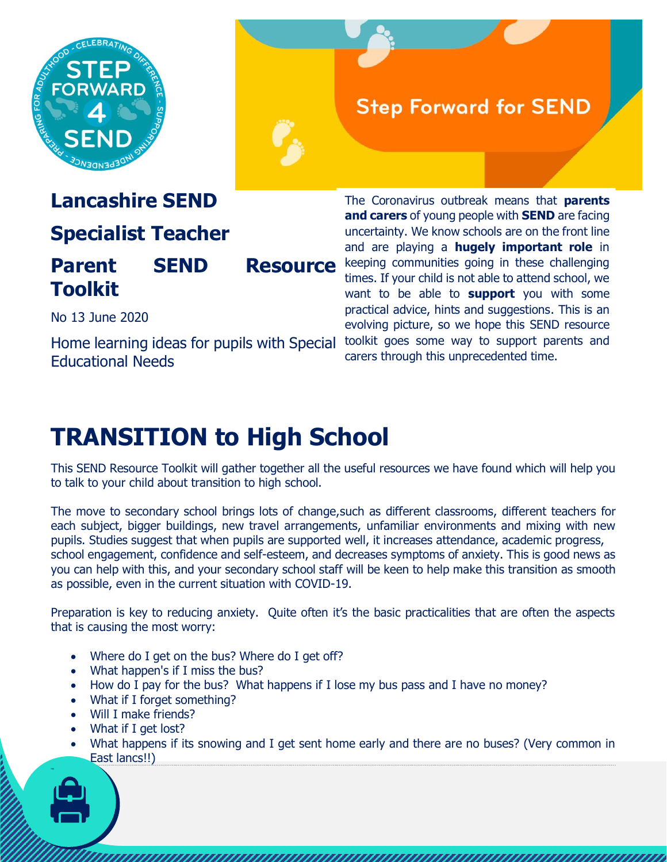

## **Step Forward for SEND**

## **Lancashire SEND**

## **Specialist Teacher**

## **Parent SEND Resource** keeping communities going in these challenging **Toolkit**

The Coronavirus outbreak means that **parents and carers** of young people with **SEND** are facing uncertainty. We know schools are on the front line and are playing a **hugely important role** in times. If your child is not able to attend school, we want to be able to **support** you with some practical advice, hints and suggestions. This is an evolving picture, so we hope this SEND resource toolkit goes some way to support parents and carers through this unprecedented time.

#### No 13 June 2020

Home learning ideas for pupils with Special Educational Needs

## **TRANSITION to High School**

This SEND Resource Toolkit will gather together all the useful resources we have found which will help you to talk to your child about transition to high school.

The move to secondary school brings lots of change,such as different classrooms, different teachers for each subject, bigger buildings, new travel arrangements, unfamiliar environments and mixing with new pupils. Studies suggest that when pupils are supported well, it increases attendance, academic progress, school engagement, confidence and self-esteem, and decreases symptoms of anxiety. This is good news as you can help with this, and your secondary school staff will be keen to help make this transition as smooth as possible, even in the current situation with COVID-19.

Preparation is key to reducing anxiety. Quite often it's the basic practicalities that are often the aspects that is causing the most worry:

- Where do I get on the bus? Where do I get off?
- What happen's if I miss the bus?
- How do I pay for the bus? What happens if I lose my bus pass and I have no money?
- What if I forget something?
- Will I make friends?
- What if I get lost?
- What happens if its snowing and I get sent home early and there are no buses? (Very common in East lancs!!)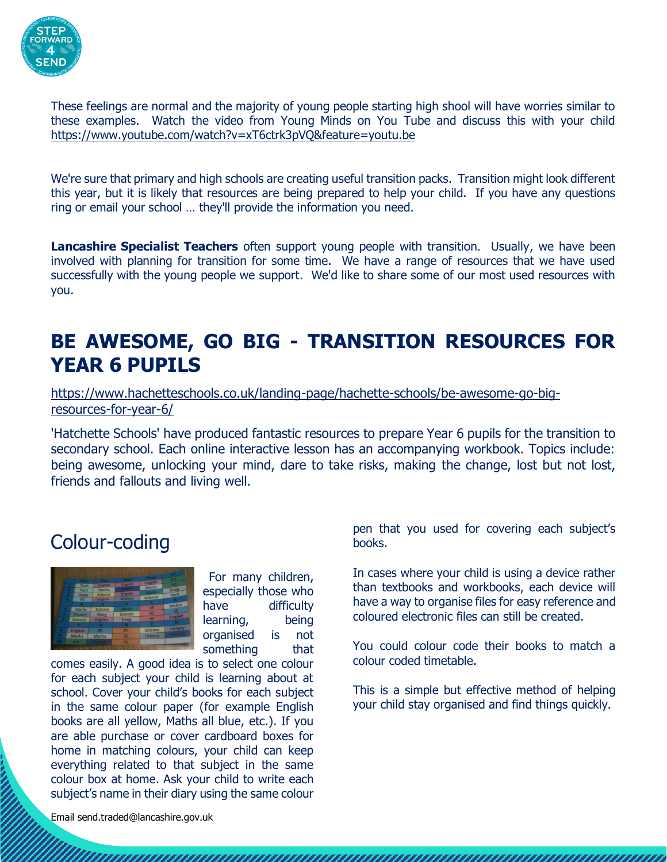

These feelings are normal and the majority of young people starting high shool will have worries similar to these examples. Watch the video from Young Minds on You Tube and discuss this with your child <https://www.youtube.com/watch?v=xT6ctrk3pVQ&feature=youtu.be>

We're sure that primary and high schools are creating useful transition packs. Transition might look different this year, but it is likely that resources are being prepared to help your child. If you have any questions ring or email your school … they'll provide the information you need.

**Lancashire Specialist Teachers** often support young people with transition. Usually, we have been involved with planning for transition for some time. We have a range of resources that we have used successfully with the young people we support. We'd like to share some of our most used resources with you.

## **BE AWESOME, GO BIG - TRANSITION RESOURCES FOR YEAR 6 PUPILS**

[https://www.hachetteschools.co.uk/landing-page/hachette-schools/be-awesome-go-big](https://www.hachetteschools.co.uk/landing-page/hachette-schools/be-awesome-go-big-resources-for-year-6/)[resources-for-year-6/](https://www.hachetteschools.co.uk/landing-page/hachette-schools/be-awesome-go-big-resources-for-year-6/)

'Hatchette Schools' have produced fantastic resources to prepare Year 6 pupils for the transition to secondary school. Each online interactive lesson has an accompanying workbook. Topics include: being awesome, unlocking your mind, dare to take risks, making the change, lost but not lost, friends and fallouts and living well.

#### Colour-coding



For many children, especially those who have difficulty learning, being organised is not something that

comes easily. A good idea is to select one colour for each subject your child is learning about at school. Cover your child's books for each subject in the same colour paper (for example English books are all yellow, Maths all blue, etc.). If you are able purchase or cover cardboard boxes for home in matching colours, your child can keep everything related to that subject in the same colour box at home. Ask your child to write each subject's name in their diary using the same colour

pen that you used for covering each subject's books.

In cases where your child is using a device rather than textbooks and workbooks, each device will have a way to organise files for easy reference and coloured electronic files can still be created.

You could colour code their books to match a colour coded timetable.

This is a simple but effective method of helping your child stay organised and find things quickly.

Email send.traded@lancashire.gov.uk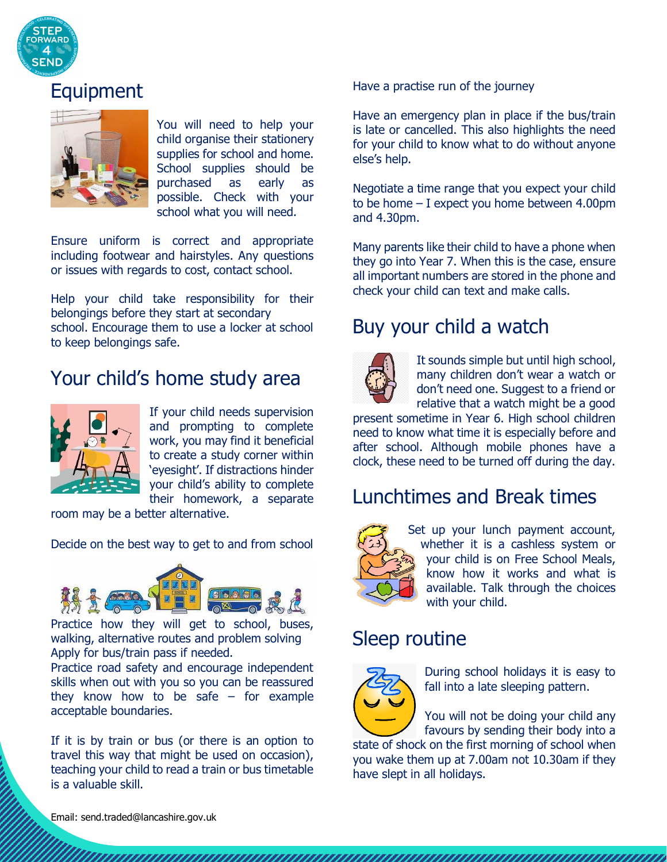

## Equipment



You will need to help your child organise their stationery supplies for school and home. School supplies should be purchased as early as possible. Check with your school what you will need.

Ensure uniform is correct and appropriate including footwear and hairstyles. Any questions or issues with regards to cost, contact school.

Help your child take responsibility for their belongings before they start at secondary school. Encourage them to use a locker at school to keep belongings safe.

## Your child's home study area



If your child needs supervision and prompting to complete work, you may find it beneficial to create a study corner within 'eyesight'. If distractions hinder your child's ability to complete their homework, a separate

room may be a better alternative.

Decide on the best way to get to and from school



Practice how they will get to school, buses, walking, alternative routes and problem solving Apply for bus/train pass if needed.

Practice road safety and encourage independent skills when out with you so you can be reassured they know how to be safe  $-$  for example acceptable boundaries.

If it is by train or bus (or there is an option to travel this way that might be used on occasion), teaching your child to read a train or bus timetable is a valuable skill.

Have a practise run of the journey

Have an emergency plan in place if the bus/train is late or cancelled. This also highlights the need for your child to know what to do without anyone else's help.

Negotiate a time range that you expect your child to be home – I expect you home between 4.00pm and 4.30pm.

Many parents like their child to have a phone when they go into Year 7. When this is the case, ensure all important numbers are stored in the phone and check your child can text and make calls.

## Buy your child a watch



It sounds simple but until high school, many children don't wear a watch or don't need one. Suggest to a friend or relative that a watch might be a good

present sometime in Year 6. High school children need to know what time it is especially before and after school. Although mobile phones have a clock, these need to be turned off during the day.

#### Lunchtimes and Break times



Set up your lunch payment account, whether it is a cashless system or your child is on Free School Meals, know how it works and what is available. Talk through the choices with your child.

#### Sleep routine



During school holidays it is easy to fall into a late sleeping pattern.

You will not be doing your child any favours by sending their body into a

state of shock on the first morning of school when you wake them up at 7.00am not 10.30am if they have slept in all holidays.

Email: send.traded@lancashire.gov.uk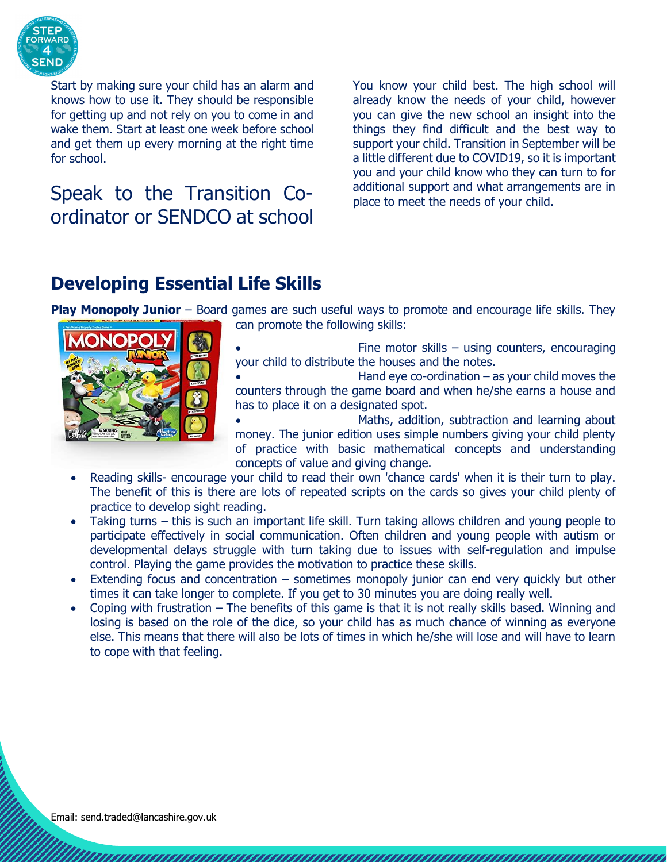

Start by making sure your child has an alarm and knows how to use it. They should be responsible for getting up and not rely on you to come in and wake them. Start at least one week before school and get them up every morning at the right time for school.

## Speak to the Transition Coordinator or SENDCO at school

You know your child best. The high school will already know the needs of your child, however you can give the new school an insight into the things they find difficult and the best way to support your child. Transition in September will be a little different due to COVID19, so it is important you and your child know who they can turn to for additional support and what arrangements are in place to meet the needs of your child.

#### **Developing Essential Life Skills**

**Play Monopoly Junior** – Board games are such useful ways to promote and encourage life skills. They



can promote the following skills:

- Fine motor skills using counters, encouraging your child to distribute the houses and the notes.
- Hand eye co-ordination  $-$  as your child moves the counters through the game board and when he/she earns a house and has to place it on a designated spot.
- Maths, addition, subtraction and learning about money. The junior edition uses simple numbers giving your child plenty of practice with basic mathematical concepts and understanding concepts of value and giving change.
- Reading skills- encourage your child to read their own 'chance cards' when it is their turn to play. The benefit of this is there are lots of repeated scripts on the cards so gives your child plenty of practice to develop sight reading.
- Taking turns this is such an important life skill. Turn taking allows children and young people to participate effectively in social communication. Often children and young people with autism or developmental delays struggle with turn taking due to issues with self-regulation and impulse control. Playing the game provides the motivation to practice these skills.
- Extending focus and concentration sometimes monopoly junior can end very quickly but other times it can take longer to complete. If you get to 30 minutes you are doing really well.
- Coping with frustration The benefits of this game is that it is not really skills based. Winning and losing is based on the role of the dice, so your child has as much chance of winning as everyone else. This means that there will also be lots of times in which he/she will lose and will have to learn to cope with that feeling.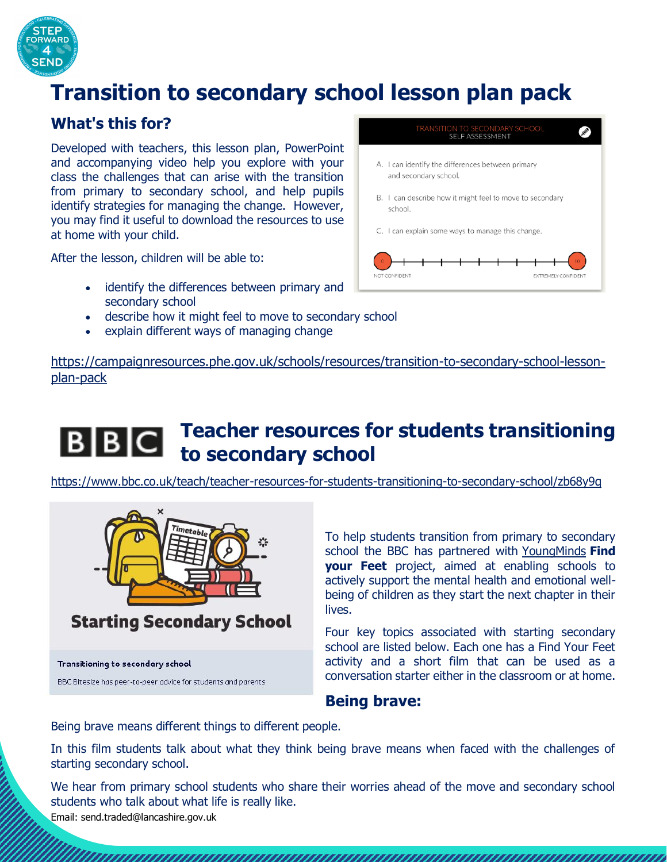

## **Transition to secondary school lesson plan pack**

#### **What's this for?**

Developed with teachers, this lesson plan, PowerPoint and accompanying video help you explore with your class the challenges that can arise with the transition from primary to secondary school, and help pupils identify strategies for managing the change. However, you may find it useful to download the resources to use at home with your child.

After the lesson, children will be able to:

- identify the differences between primary and secondary school
- describe how it might feel to move to secondary school
- explain different ways of managing change



[https://campaignresources.phe.gov.uk/schools/resources/transition-to-secondary-school-lesson](https://campaignresources.phe.gov.uk/schools/resources/transition-to-secondary-school-lesson-plan-pack)[plan-pack](https://campaignresources.phe.gov.uk/schools/resources/transition-to-secondary-school-lesson-plan-pack)

#### **Teacher resources for students transitioning**   $|B||B|C|$ **to secondary school**

<https://www.bbc.co.uk/teach/teacher-resources-for-students-transitioning-to-secondary-school/zb68y9q>



BBC Bitesize has peer-to-peer advice for students and parents

To help students transition from primary to secondary school the BBC has partnered with [YoungMinds](http://www.youngminds.org.uk/transitions) **Find your Feet** project, aimed at enabling schools to actively support the mental health and emotional wellbeing of children as they start the next chapter in their lives.

Four key topics associated with starting secondary school are listed below. Each one has a Find Your Feet activity and a short film that can be used as a conversation starter either in the classroom or at home.

#### **Being brave:**

una manana manana manana manana manana manana manana manana ma

Being brave means different things to different people.

In this film students talk about what they think being brave means when faced with the challenges of starting secondary school.

We hear from primary school students who share their worries ahead of the move and secondary school students who talk about what life is really like.

Email: send.traded@lancashire.gov.uk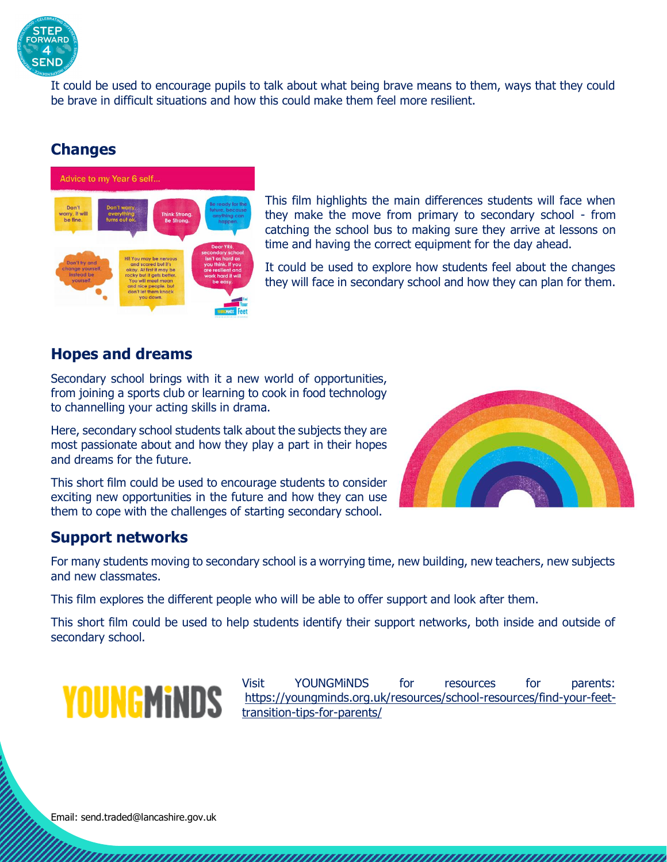

It could be used to encourage pupils to talk about what being brave means to them, ways that they could be brave in difficult situations and how this could make them feel more resilient.

#### **Changes**



This film highlights the main differences students will face when they make the move from primary to secondary school - from catching the school bus to making sure they arrive at lessons on time and having the correct equipment for the day ahead.

It could be used to explore how students feel about the changes they will face in secondary school and how they can plan for them.

#### **Hopes and dreams**

Secondary school brings with it a new world of opportunities, from joining a sports club or learning to cook in food technology to channelling your acting skills in drama.

Here, secondary school students talk about the subjects they are most passionate about and how they play a part in their hopes and dreams for the future.

This short film could be used to encourage students to consider exciting new opportunities in the future and how they can use them to cope with the challenges of starting secondary school.



#### **Support networks**

For many students moving to secondary school is a worrying time, new building, new teachers, new subjects and new classmates.

This film explores the different people who will be able to offer support and look after them.

This short film could be used to help students identify their support networks, both inside and outside of secondary school.

## **YOUNGMINDS**

Visit YOUNGMiNDS for resources for parents: [https://youngminds.org.uk/resources/school-resources/find-your-feet](https://youngminds.org.uk/resources/school-resources/find-your-feet-transition-tips-for-parents/)[transition-tips-for-parents/](https://youngminds.org.uk/resources/school-resources/find-your-feet-transition-tips-for-parents/)

una una manang manang manang manang manang manang manang manang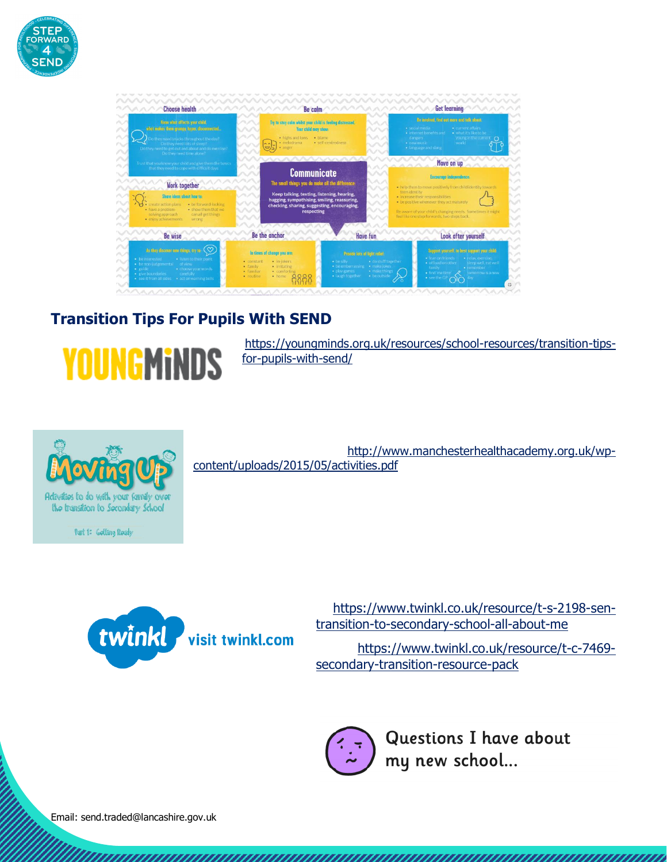

| Know what affects your child.<br>what makes them grumpy, hyper, disconnected<br>o they need snacks throughout the day?<br>Do they need lots of sleep?<br>Do they need to get out and about and do exercise?<br>Do they need time alone?                                                                                             | Try to stay calm whilst your child is feeling distressed.<br>Your child may show:<br>いへく<br>· highs and lows · blame<br>· melodrama       | · self-centredness                                                                                                                                                                                                                                              | · social media<br>· internet benefits and<br>dangers:<br>· new music<br>· language and slang  | Be involved, find out more and talk about<br>· current affairs<br>. what it's like to be<br>young in the current<br>world                                                                                                                                                                                           |  |
|-------------------------------------------------------------------------------------------------------------------------------------------------------------------------------------------------------------------------------------------------------------------------------------------------------------------------------------|-------------------------------------------------------------------------------------------------------------------------------------------|-----------------------------------------------------------------------------------------------------------------------------------------------------------------------------------------------------------------------------------------------------------------|-----------------------------------------------------------------------------------------------|---------------------------------------------------------------------------------------------------------------------------------------------------------------------------------------------------------------------------------------------------------------------------------------------------------------------|--|
| Trust that you know your child and give them the basics<br>that they need to cope with difficult days.<br><b>Work together</b><br>Share ideas about how to:<br>· be forward looking<br>· create action plans<br>· have a problem-<br>· show them that we<br>solving approach<br>can all get things<br>· enjoy achievements<br>wrong | イーノー                                                                                                                                      | <b>Communicate</b><br>いへい<br>1111<br>The small things you do make all the difference:<br>vv<br>Keep talking, texting, listening, hearing,<br>$\vee$<br>hugging, sympathising, smiling, reassuring,<br>checking, sharing, suggesting, encouraging,<br>respecting |                                                                                               | Move on up<br>Encourage independence:<br>. help them to move positively from child identity towards<br>teenidentity<br>· increase their responsibilities<br>. be positive whenever they act maturely<br>Be aware of your child's changing needs. Sometimes it might<br>feel like one step forwards, two steps back. |  |
| <b>Be wise</b>                                                                                                                                                                                                                                                                                                                      | Be the anchor                                                                                                                             | <b>Have fun</b>                                                                                                                                                                                                                                                 |                                                                                               | Look after yourself                                                                                                                                                                                                                                                                                                 |  |
| As they discover new things, try to:<br>· beinterested<br>· listen to their point<br>· be non-judgemental<br>of view<br>· choose your words<br>$ onite$<br>· give boundaries<br>carefully<br>· see it from all sides<br>· act on warning bells                                                                                      | In times of change you are:<br>· in-jokers<br>· constant<br>· irritating<br>· family<br>· familiar<br>· comforting<br>· hame<br>· routine | Provide tots of light rollef:<br>· do stuff together<br>· be silly<br>· be embarrassing<br>· make jokes<br>· play games<br>· make things<br>· laugh together<br>· be outside                                                                                    | · Jean on friends<br>· officad on other<br>family<br>. find 'me time'<br>$\bullet$ see the GP | Support yourself, to best support your child-<br>· Irelax exercise.<br>skep well, eat well<br>· remember<br>tomorrow is a new                                                                                                                                                                                       |  |

#### **Transition Tips For Pupils With SEND**



[https://youngminds.org.uk/resources/school-resources/transition-tips](https://youngminds.org.uk/resources/school-resources/transition-tips-for-pupils-with-send/)[for-pupils-with-send/](https://youngminds.org.uk/resources/school-resources/transition-tips-for-pupils-with-send/)



Part 1: Golting Roady

[http://www.manchesterhealthacademy.org.uk/wp](http://www.manchesterhealthacademy.org.uk/wp-content/uploads/2015/05/activities.pdf)[content/uploads/2015/05/activities.pdf](http://www.manchesterhealthacademy.org.uk/wp-content/uploads/2015/05/activities.pdf)



[https://www.twinkl.co.uk/resource/t-s-2198-sen](https://www.twinkl.co.uk/resource/t-s-2198-sen-transition-to-secondary-school-all-about-me)[transition-to-secondary-school-all-about-me](https://www.twinkl.co.uk/resource/t-s-2198-sen-transition-to-secondary-school-all-about-me)

[https://www.twinkl.co.uk/resource/t-c-7469](https://www.twinkl.co.uk/resource/t-c-7469-secondary-transition-resource-pack) [secondary-transition-resource-pack](https://www.twinkl.co.uk/resource/t-c-7469-secondary-transition-resource-pack)



Questions I have about my new school ...

Email: send.traded@lancashire.gov.uk